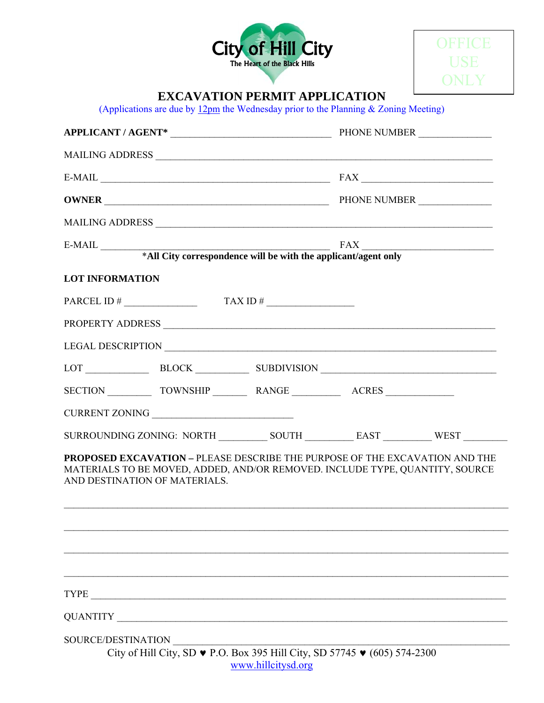



# **EXCAVATION PERMIT APPLICATION**

(Applications are due by  $12 \text{pm}$  the Wednesday prior to the Planning & Zoning Meeting)

|                                      | $E-MAIL$ $FAX$                                                                                                                                                                                      |                    |  |  |
|--------------------------------------|-----------------------------------------------------------------------------------------------------------------------------------------------------------------------------------------------------|--------------------|--|--|
|                                      |                                                                                                                                                                                                     |                    |  |  |
|                                      |                                                                                                                                                                                                     |                    |  |  |
|                                      |                                                                                                                                                                                                     |                    |  |  |
|                                      |                                                                                                                                                                                                     |                    |  |  |
| <b>LOT INFORMATION</b>               |                                                                                                                                                                                                     |                    |  |  |
| PARCEL ID # $\qquad \qquad$ TAX ID # |                                                                                                                                                                                                     |                    |  |  |
|                                      |                                                                                                                                                                                                     |                    |  |  |
|                                      |                                                                                                                                                                                                     |                    |  |  |
|                                      | LOT BLOCK BLOCK SUBDIVISION                                                                                                                                                                         |                    |  |  |
|                                      |                                                                                                                                                                                                     |                    |  |  |
|                                      | <b>CURRENT ZONING</b>                                                                                                                                                                               |                    |  |  |
|                                      |                                                                                                                                                                                                     |                    |  |  |
|                                      | <b>PROPOSED EXCAVATION – PLEASE DESCRIBE THE PURPOSE OF THE EXCAVATION AND THE</b><br>MATERIALS TO BE MOVED, ADDED, AND/OR REMOVED. INCLUDE TYPE, QUANTITY, SOURCE<br>AND DESTINATION OF MATERIALS. |                    |  |  |
|                                      |                                                                                                                                                                                                     |                    |  |  |
| SOURCE/DESTINATION                   | City of Hill City, SD ♥ P.O. Box 395 Hill City, SD 57745 ♥ (605) 574-2300                                                                                                                           | www.hillcitysd.org |  |  |